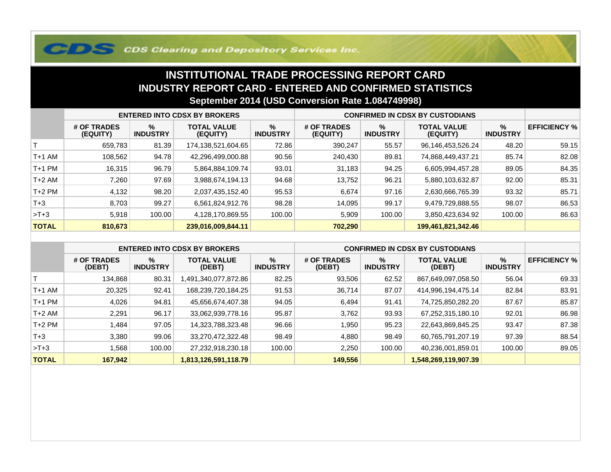## **COS Clearing and Depository Services Inc.**

## **INSTITUTIONAL TRADE PROCESSING REPORT CARD INDUSTRY REPORT CARD - ENTERED AND CONFIRMED STATISTICSSeptember 2014 (USD Conversion Rate 1.084749998)**

|              | <b>ENTERED INTO CDSX BY BROKERS</b> |                         |                                |                         | <b>CONFIRMED IN CDSX BY CUSTODIANS</b> |                         |                                |                      |                     |
|--------------|-------------------------------------|-------------------------|--------------------------------|-------------------------|----------------------------------------|-------------------------|--------------------------------|----------------------|---------------------|
|              | # OF TRADES<br>(EQUITY)             | $\%$<br><b>INDUSTRY</b> | <b>TOTAL VALUE</b><br>(EQUITY) | $\%$<br><b>INDUSTRY</b> | # OF TRADES<br>(EQUITY)                | $\%$<br><b>INDUSTRY</b> | <b>TOTAL VALUE</b><br>(EQUITY) | %<br><b>INDUSTRY</b> | <b>EFFICIENCY %</b> |
|              | 659,783                             | 81.39                   | 174,138,521,604.65             | 72.86                   | 390,247                                | 55.57                   | 96,146,453,526.24              | 48.20                | 59.15               |
| T+1 AM       | 108,562                             | 94.78                   | 42,296,499,000.88              | 90.56                   | 240,430                                | 89.81                   | 74,868,449,437.21              | 85.74                | 82.08               |
| T+1 PM       | 16,315                              | 96.79                   | 5,864,884,109.74               | 93.01                   | 31,183                                 | 94.25                   | 6,605,994,457.28               | 89.05                | 84.35               |
| T+2 AM       | 7,260                               | 97.69                   | 3,988,674,194.13               | 94.68                   | 13,752                                 | 96.21                   | 5,880,103,632.87               | 92.00                | 85.31               |
| $T+2$ PM     | 4,132                               | 98.20                   | 2,037,435,152.40               | 95.53                   | 6,674                                  | 97.16                   | 2,630,666,765.39               | 93.32                | 85.71               |
| $T+3$        | 8.703                               | 99.27                   | 6,561,824,912.76               | 98.28                   | 14,095                                 | 99.17                   | 9,479,729,888.55               | 98.07                | 86.53               |
| $>T+3$       | 5,918                               | 100.00                  | 4,128,170,869.55               | 100.00                  | 5,909                                  | 100.00                  | 3,850,423,634.92               | 100.00               | 86.63               |
| <b>TOTAL</b> | 810,673                             |                         | 239,016,009,844.11             |                         | 702,290                                |                         | 199,461,821,342.46             |                      |                     |

|              | <b>ENTERED INTO CDSX BY BROKERS</b> |                         |                              |                         | <b>CONFIRMED IN CDSX BY CUSTODIANS</b> |                         |                              |                         |                     |
|--------------|-------------------------------------|-------------------------|------------------------------|-------------------------|----------------------------------------|-------------------------|------------------------------|-------------------------|---------------------|
|              | # OF TRADES<br>(DEBT)               | $\%$<br><b>INDUSTRY</b> | <b>TOTAL VALUE</b><br>(DEBT) | $\%$<br><b>INDUSTRY</b> | # OF TRADES<br>(DEBT)                  | $\%$<br><b>INDUSTRY</b> | <b>TOTAL VALUE</b><br>(DEBT) | $\%$<br><b>INDUSTRY</b> | <b>EFFICIENCY %</b> |
|              | 134.868                             | 80.31                   | .491,340,077,872.86          | 82.25                   | 93,506                                 | 62.52                   | 867,649,097,058.50           | 56.04                   | 69.33               |
| $T+1$ AM     | 20,325                              | 92.41                   | 168,239,720,184.25           | 91.53                   | 36,714                                 | 87.07                   | 414,996,194,475.14           | 82.84                   | 83.91               |
| $T+1$ PM     | 4,026                               | 94.81                   | 45,656,674,407.38            | 94.05                   | 6,494                                  | 91.41                   | 74,725,850,282.20            | 87.67                   | 85.87               |
| $T+2$ AM     | 2,291                               | 96.17                   | 33,062,939,778.16            | 95.87                   | 3,762                                  | 93.93                   | 67,252,315,180.10            | 92.01                   | 86.98               |
| $T+2$ PM     | .484.                               | 97.05                   | 14,323,788,323.48            | 96.66                   | .950                                   | 95.23                   | 22,643,869,845.25            | 93.47                   | 87.38               |
| $T+3$        | 3.380                               | 99.06                   | 33,270,472,322.48            | 98.49                   | 4.880                                  | 98.49                   | 60,765,791,207.19            | 97.39                   | 88.54               |
| $>T+3$       | .568                                | 100.00                  | 27,232,918,230.18            | 100.00                  | 2,250                                  | 100.00                  | 40,236,001,859.01            | 100.00                  | 89.05               |
| <b>TOTAL</b> | 167,942                             |                         | 1,813,126,591,118.79         |                         | 149,556                                |                         | 1,548,269,119,907.39         |                         |                     |